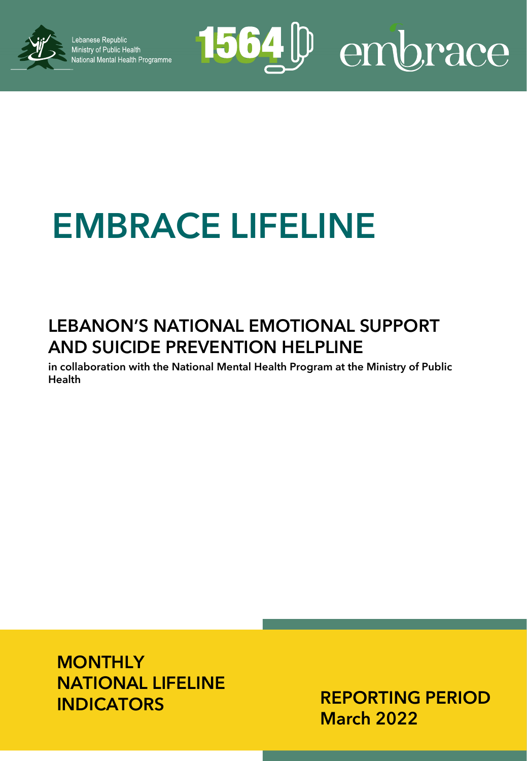

Lebanese Republic Ministry of Public Health<br>National Mental Health Programme

# 1564<sup>D</sup> embrace

## **EMBRACE LIFELINE**

### **LEBANON'S NATIONAL EMOTIONAL SUPPORT AND SUICIDE PREVENTION HELPLINE**

**in collaboration with the National Mental Health Program at the Ministry of Public Health**

**MONTHLY NATIONAL LIFELINE INDICATORS**

**REPORTING PERIOD March 2022**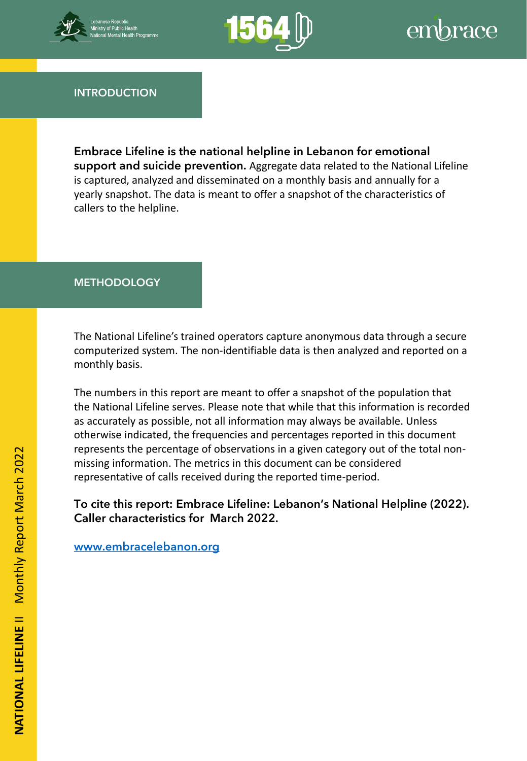



**INTRODUCTION**

**Embrace Lifeline is the national helpline in Lebanon for emotional support and suicide prevention.** Aggregate data related to the National Lifeline is captured, analyzed and disseminated on a monthly basis and annually for a yearly snapshot. The data is meant to offer a snapshot of the characteristics of callers to the helpline.

#### **METHODOLOGY**

computerized system. The non-identifiable data is then analyzed and reported on a The National Lifeline's trained operators capture anonymous data through a secure monthly basis.

The numbers in this report are meant to offer a snapshot of the population that the National Lifeline serves. Please note that while that this information is recorded as accurately as possible, not all information may always be available. Unless otherwise indicated, the frequencies and percentages reported in this document represents the percentage of observations in a given category out of the total nonmissing information. The metrics in this document can be considered representative of calls received during the reported time-period.

**To cite this report: Embrace Lifeline: Lebanon's National Helpline (2022). Caller characteristics for March 2022.** 

**[www.embracelebanon.org](http://www.embracelebanon.org/)**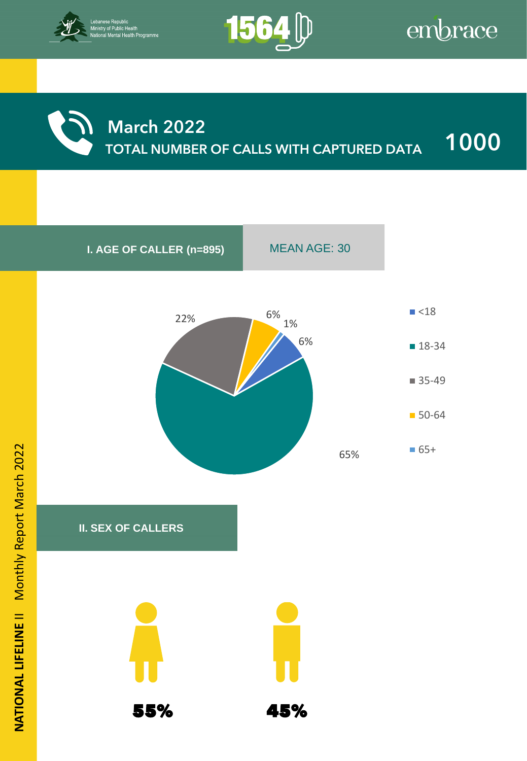



### **March 2022 TOTAL NUMBER OF CALLS WITH CAPTURED DATA 1000**

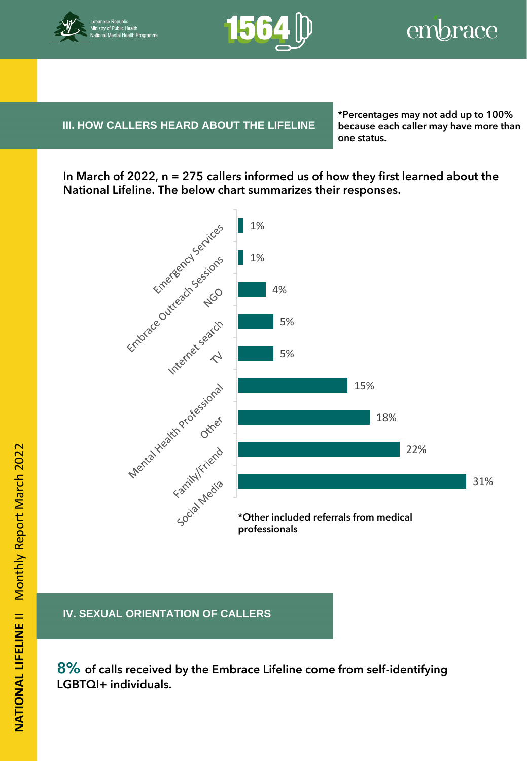



**III. HOW CALLERS HEARD ABOUT THE LIFELINE** because

**IV. BENEFICIARY INFORMATION**

**\*Percentages may not add up to 100% because each caller may have more than one status.**

**In March of 2022, n = 275 callers informed us of how they first learned about the National Lifeline. The below chart summarizes their responses.**



#### **IV. SEXUAL ORIENTATION OF CALLERS**

**8% of calls received by the Embrace Lifeline come from self-identifying LGBTQI+ individuals.**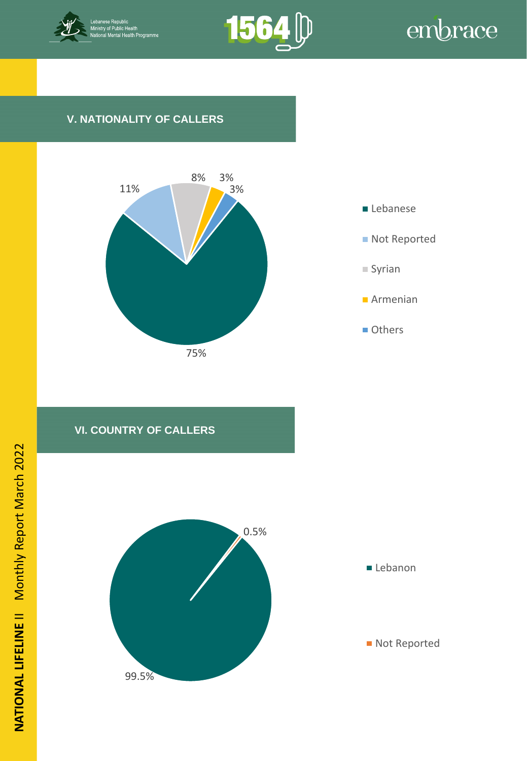



#### **V. NATIONALITY OF CALLERS**





#### **VI. COUNTRY OF CALLERS**

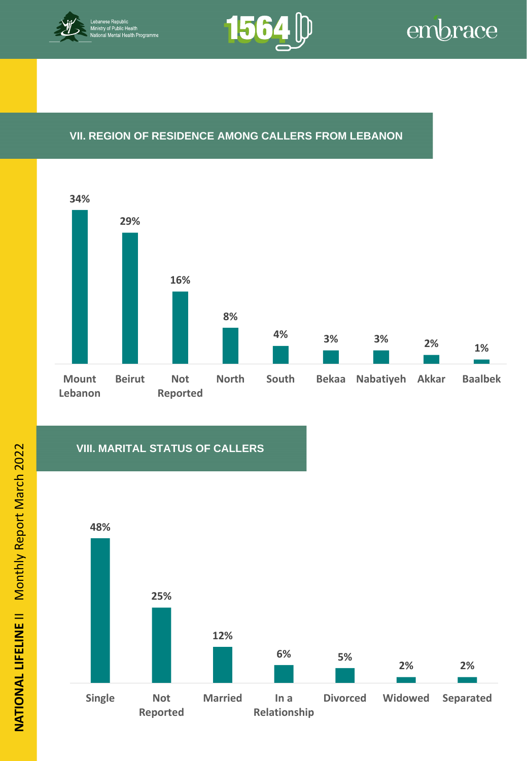



#### **VII. REGION OF RESIDENCE AMONG CALLERS FROM LEBANON**



#### **VIII. MARITAL STATUS OF CALLERS**

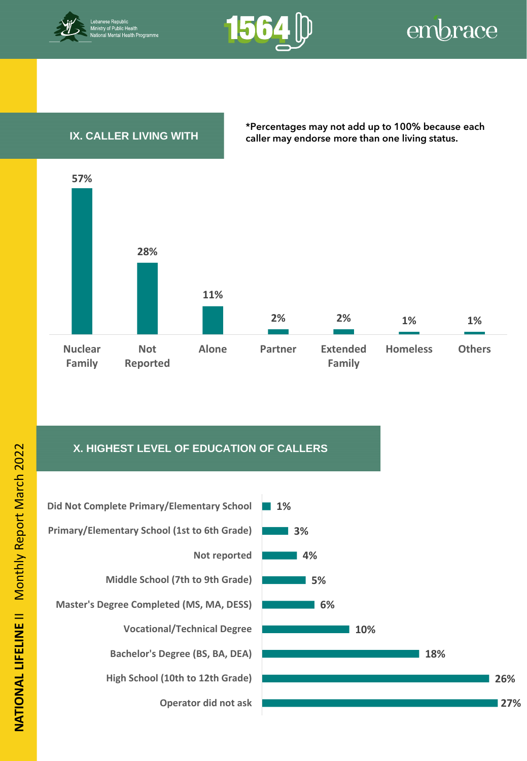



#### **IX. CALLER LIVING WITH**

**\*Percentages may not add up to 100% because each caller may endorse more than one living status.**



#### **X. HIGHEST LEVEL OF EDUCATION OF CALLERS**



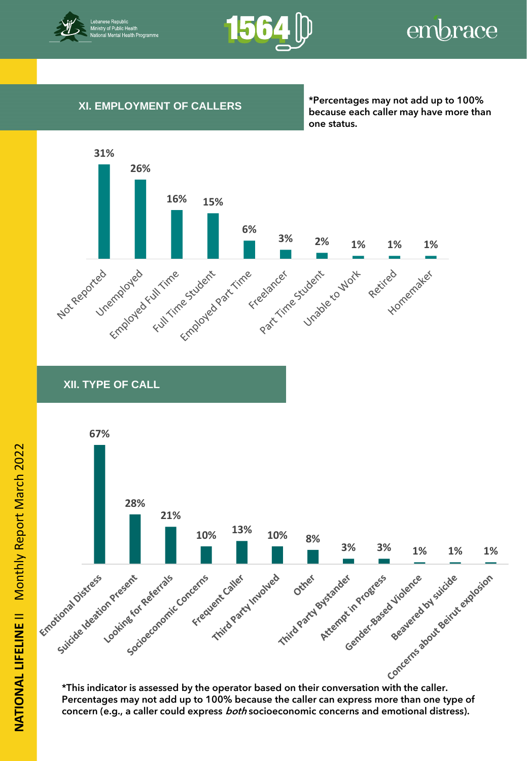



#### **XI. EMPLOYMENT OF CALLERS**

**\*Percentages may not add up to 100% because each caller may have more than one status.**



**XII. TYPE OF CALL**



**Percentages may not add up to 100% because the caller can express more than one type of concern (e.g., a caller could express both socioeconomic concerns and emotional distress).**